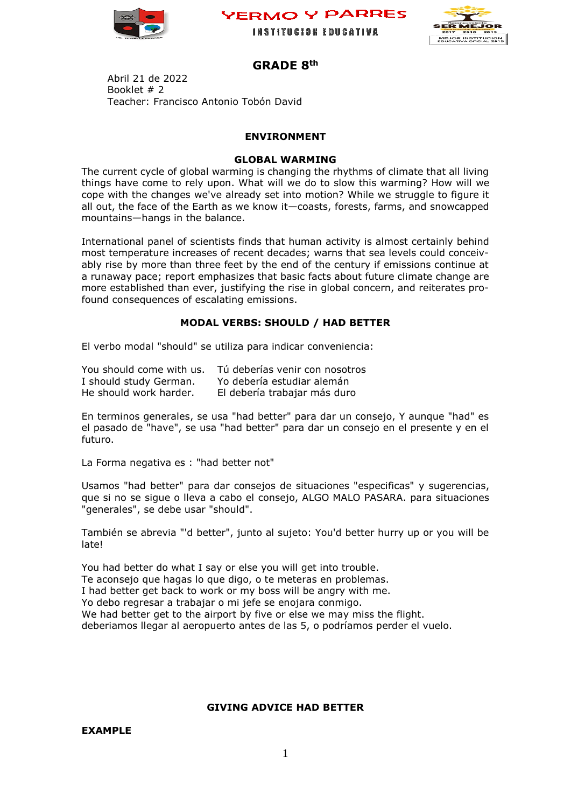





# **GRADE 8th**

Abril 21 de 2022 Booklet # 2 Teacher: Francisco Antonio Tobón David

### **ENVIRONMENT**

#### **GLOBAL WARMING**

The current cycle of global warming is changing the rhythms of climate that all living things have come to rely upon. What will we do to slow this warming? How will we cope with the changes we've already set into motion? While we struggle to figure it all out, the face of the Earth as we know it—coasts, forests, farms, and snowcapped mountains—hangs in the balance.

International panel of scientists finds that human activity is almost certainly behind most temperature increases of recent decades; warns that sea levels could conceivably rise by more than three feet by the end of the century if emissions continue at a runaway pace; report emphasizes that basic facts about future climate change are more established than ever, justifying the rise in global concern, and reiterates profound consequences of escalating emissions.

### **MODAL VERBS: SHOULD / HAD BETTER**

El verbo modal "should" se utiliza para indicar conveniencia:

| You should come with us. | Tú deberías venir con nosotros |
|--------------------------|--------------------------------|
| I should study German.   | Yo debería estudiar alemán     |
| He should work harder.   | El debería trabajar más duro   |

En terminos generales, se usa "had better" para dar un consejo, Y aunque "had" es el pasado de "have", se usa "had better" para dar un consejo en el presente y en el futuro.

La Forma negativa es : "had better not"

Usamos "had better" para dar consejos de situaciones "especificas" y sugerencias, que si no se sigue o lleva a cabo el consejo, ALGO MALO PASARA. para situaciones "generales", se debe usar "should".

También se abrevia "'d better", junto al sujeto: You'd better hurry up or you will be late!

You had better do what I say or else you will get into trouble.

Te aconsejo que hagas lo que digo, o te meteras en problemas.

I had better get back to work or my boss will be angry with me.

Yo debo regresar a trabajar o mi jefe se enojara conmigo.

We had better get to the airport by five or else we may miss the flight.

deberiamos llegar al aeropuerto antes de las 5, o podríamos perder el vuelo.

### **GIVING ADVICE HAD BETTER**

### **EXAMPLE**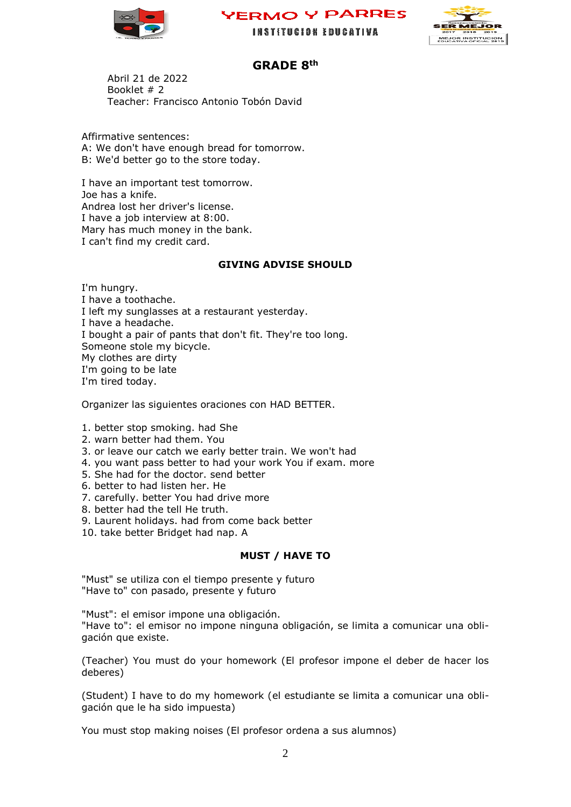





# **GRADE 8th**

Abril 21 de 2022 Booklet # 2 Teacher: Francisco Antonio Tobón David

Affirmative sentences: A: We don't have enough bread for tomorrow. B: We'd better go to the store today.

I have an important test tomorrow. Joe has a knife. Andrea lost her driver's license. I have a job interview at 8:00. Mary has much money in the bank. I can't find my credit card.

### **GIVING ADVISE SHOULD**

I'm hungry. I have a toothache. I left my sunglasses at a restaurant yesterday. I have a headache. I bought a pair of pants that don't fit. They're too long. Someone stole my bicycle. My clothes are dirty I'm going to be late I'm tired today.

Organizer las siguientes oraciones con HAD BETTER.

### 1. better stop smoking. had She

- 2. warn better had them. You
- 3. or leave our catch we early better train. We won't had
- 4. you want pass better to had your work You if exam. more
- 5. She had for the doctor. send better
- 6. better to had listen her. He
- 7. carefully. better You had drive more
- 8. better had the tell He truth.
- 9. Laurent holidays. had from come back better
- 10. take better Bridget had nap. A

## **MUST / HAVE TO**

"Must" se utiliza con el tiempo presente y futuro "Have to" con pasado, presente y futuro

"Must": el emisor impone una obligación.

"Have to": el emisor no impone ninguna obligación, se limita a comunicar una obligación que existe.

(Teacher) You must do your homework (El profesor impone el deber de hacer los deberes)

(Student) I have to do my homework (el estudiante se limita a comunicar una obligación que le ha sido impuesta)

You must stop making noises (El profesor ordena a sus alumnos)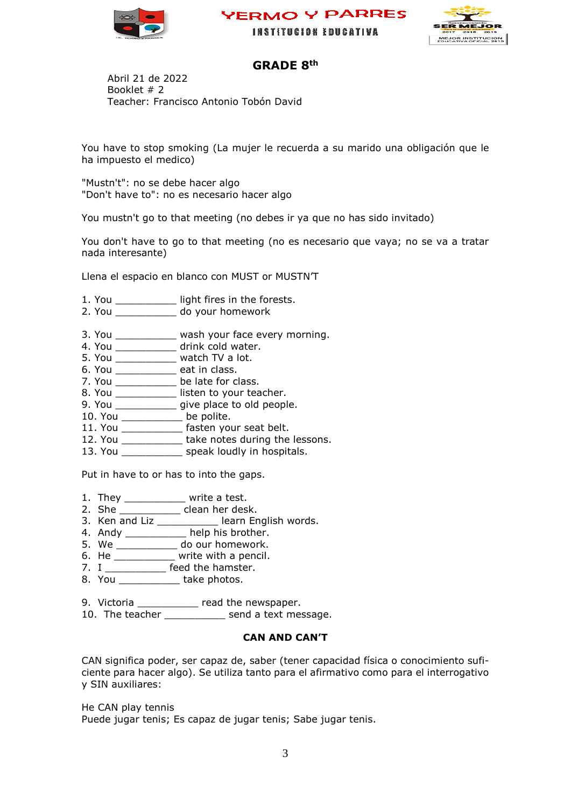





# **GRADE 8th**

Abril 21 de 2022 Booklet # 2 Teacher: Francisco Antonio Tobón David

You have to stop smoking (La mujer le recuerda a su marido una obligación que le ha impuesto el medico)

"Mustn't": no se debe hacer algo "Don't have to": no es necesario hacer algo

You mustn't go to that meeting (no debes ir ya que no has sido invitado)

You don't have to go to that meeting (no es necesario que vaya; no se va a tratar nada interesante)

Llena el espacio en blanco con MUST or MUSTN'T

- 1. You \_\_\_\_\_\_\_\_\_\_ light fires in the forests.
- 2. You do your homework
- 3. You \_\_\_\_\_\_\_\_\_\_ wash your face every morning.
- 4. You \_\_\_\_\_\_\_\_\_\_ drink cold water.
- 5. You \_\_\_\_\_\_\_\_\_\_ watch TV a lot.
- 6. You \_\_\_\_\_\_\_\_\_\_ eat in class.
- 7. You \_\_\_\_\_\_\_\_\_\_\_\_ be late for class.
- 8. You \_\_\_\_\_\_\_\_\_\_\_\_ listen to your teacher.
- 9. You \_\_\_\_\_\_\_\_\_\_\_\_\_ give place to old people.
- 10. You \_\_\_\_\_\_\_\_\_\_ be polite.
- 11. You \_\_\_\_\_\_\_\_\_\_\_\_\_ fasten your seat belt.
- 12. You \_\_\_\_\_\_\_\_\_\_\_\_\_ take notes during the lessons.
- 13. You speak loudly in hospitals.

Put in have to or has to into the gaps.

- 1. They \_\_\_\_\_\_\_\_\_\_ write a test.
- 2. She \_\_\_\_\_\_\_\_\_\_ clean her desk.
- 3. Ken and Liz \_\_\_\_\_\_\_\_\_\_ learn English words.
- 4. Andy \_\_\_\_\_\_\_\_\_\_ help his brother.
- 5. We \_\_\_\_\_\_\_\_\_\_\_\_ do our homework.
- 6. He \_\_\_\_\_\_\_\_\_\_\_\_ write with a pencil.
- 7. I  $\frac{1}{\sqrt{1-\frac{1}{\sqrt{1-\frac{1}{\sqrt{1-\frac{1}{\sqrt{1-\frac{1}{\sqrt{1-\frac{1}{\sqrt{1-\frac{1}{\sqrt{1-\frac{1}{\sqrt{1-\frac{1}{\sqrt{1-\frac{1}{\sqrt{1-\frac{1}{\sqrt{1-\frac{1}{\sqrt{1-\frac{1}{\sqrt{1-\frac{1}{\sqrt{1-\frac{1}{\sqrt{1-\frac{1}{\sqrt{1-\frac{1}{\sqrt{1-\frac{1}{\sqrt{1-\frac{1}{\sqrt{1-\frac{1}{\sqrt{1-\frac{1}{\sqrt{1-\frac{1}{\sqrt{1-\frac{1}{\sqrt{1-\frac{1}{\sqrt{$
- 8. You \_\_\_\_\_\_\_\_\_\_ take photos.
- 9. Victoria \_\_\_\_\_\_\_\_\_\_ read the newspaper.
- 10. The teacher \_\_\_\_\_\_\_\_\_\_\_ send a text message.

## **CAN AND CAN'T**

CAN significa poder, ser capaz de, saber (tener capacidad física o conocimiento suficiente para hacer algo). Se utiliza tanto para el afirmativo como para el interrogativo y SIN auxiliares:

He CAN play tennis Puede jugar tenis; Es capaz de jugar tenis; Sabe jugar tenis.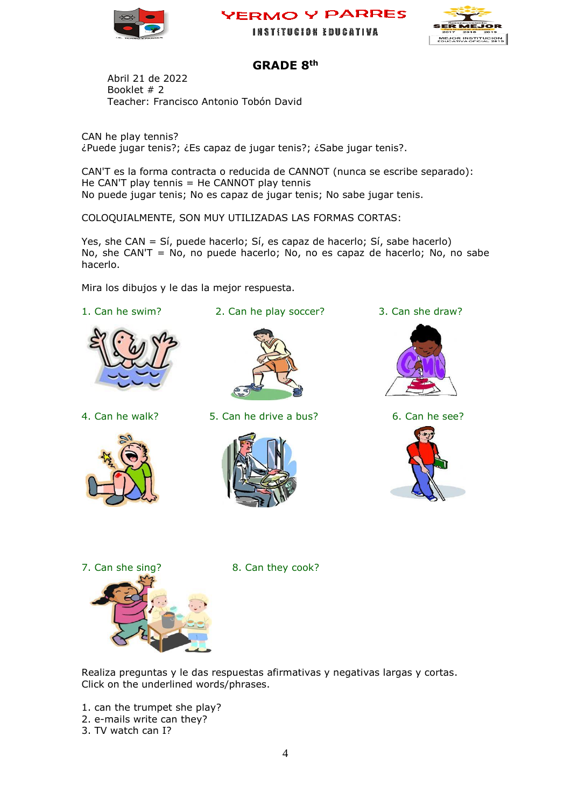





# **GRADE 8th**

Abril 21 de 2022 Booklet # 2 Teacher: Francisco Antonio Tobón David

CAN he play tennis? ¿Puede jugar tenis?; ¿Es capaz de jugar tenis?; ¿Sabe jugar tenis?.

CAN'T es la forma contracta o reducida de CANNOT (nunca se escribe separado): He CAN'T play tennis  $=$  He CANNOT play tennis No puede jugar tenis; No es capaz de jugar tenis; No sabe jugar tenis.

COLOQUIALMENTE, SON MUY UTILIZADAS LAS FORMAS CORTAS:

Yes, she CAN = Sí, puede hacerlo; Sí, es capaz de hacerlo; Sí, sabe hacerlo) No, she CAN'T = No, no puede hacerlo; No, no es capaz de hacerlo; No, no sabe hacerlo.

Mira los dibujos y le das la mejor respuesta.

1. Can he swim? 2. Can he play soccer? 3. Can she draw?







4. Can he walk? 5. Can he drive a bus? 6. Can he see?









7. Can she sing? 8. Can they cook?

Realiza preguntas y le das respuestas afirmativas y negativas largas y cortas. Click on the underlined words/phrases.

- 1. can the trumpet she play?
- 2. e-mails write can they?
- 3. TV watch can I?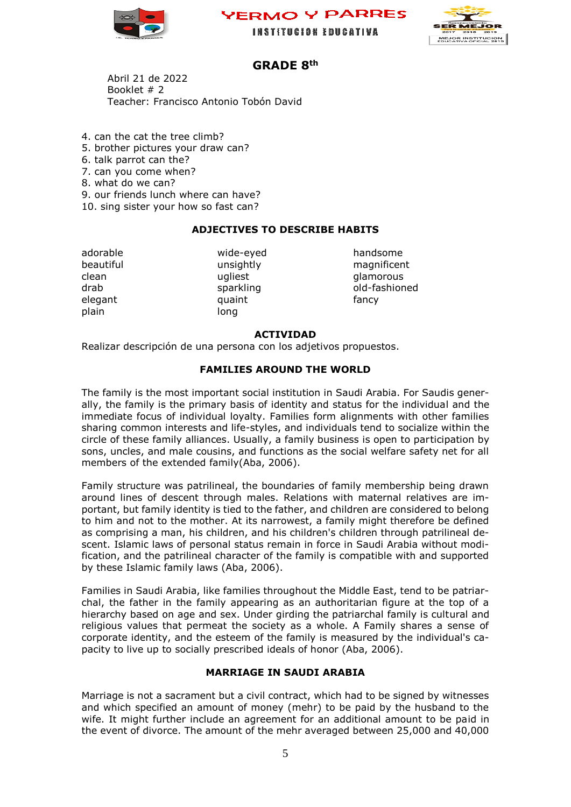





# **GRADE 8th**

Abril 21 de 2022 Booklet # 2 Teacher: Francisco Antonio Tobón David

- 4. can the cat the tree climb?
- 5. brother pictures your draw can?
- 6. talk parrot can the?
- 7. can you come when?
- 8. what do we can?
- 9. our friends lunch where can have?
- 10. sing sister your how so fast can?

## **ADJECTIVES TO DESCRIBE HABITS**

adorable wide-eyed handsome elegant quaint cleans and the set of the set of the set of the set of the set of the set of the set of the set o plain long

beautiful unsightly unsightly magnificent clean ugliest ugliest qlamorous drab sparkling old-fashioned

### **ACTIVIDAD**

Realizar descripción de una persona con los adjetivos propuestos.

### **FAMILIES AROUND THE WORLD**

The family is the most important social institution in Saudi Arabia. For Saudis generally, the family is the primary basis of identity and status for the individual and the immediate focus of individual loyalty. Families form alignments with other families sharing common interests and life-styles, and individuals tend to socialize within the circle of these family alliances. Usually, a family business is open to participation by sons, uncles, and male cousins, and functions as the social welfare safety net for all members of the extended family(Aba, 2006).

Family structure was patrilineal, the boundaries of family membership being drawn around lines of descent through males. Relations with maternal relatives are important, but family identity is tied to the father, and children are considered to belong to him and not to the mother. At its narrowest, a family might therefore be defined as comprising a man, his children, and his children's children through patrilineal descent. Islamic laws of personal status remain in force in Saudi Arabia without modification, and the patrilineal character of the family is compatible with and supported by these Islamic family laws (Aba, 2006).

Families in Saudi Arabia, like families throughout the Middle East, tend to be patriarchal, the father in the family appearing as an authoritarian figure at the top of a hierarchy based on age and sex. Under girding the patriarchal family is cultural and religious values that permeat the society as a whole. A Family shares a sense of corporate identity, and the esteem of the family is measured by the individual's capacity to live up to socially prescribed ideals of honor (Aba, 2006).

## **MARRIAGE IN SAUDI ARABIA**

Marriage is not a sacrament but a civil contract, which had to be signed by witnesses and which specified an amount of money (mehr) to be paid by the husband to the wife. It might further include an agreement for an additional amount to be paid in the event of divorce. The amount of the mehr averaged between 25,000 and 40,000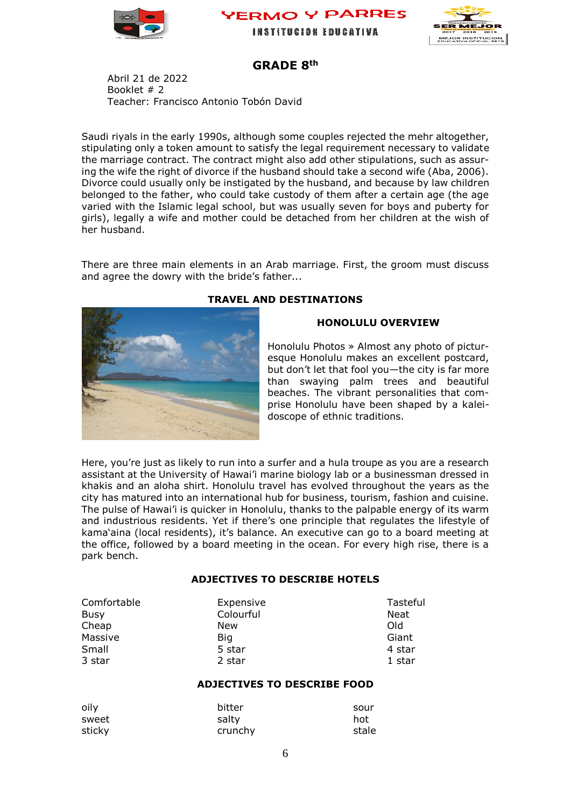







# **GRADE 8th**

Abril 21 de 2022 Booklet # 2 Teacher: Francisco Antonio Tobón David

Saudi riyals in the early 1990s, although some couples rejected the mehr altogether, stipulating only a token amount to satisfy the legal requirement necessary to validate the marriage contract. The contract might also add other stipulations, such as assuring the wife the right of divorce if the husband should take a second wife (Aba, 2006). Divorce could usually only be instigated by the husband, and because by law children belonged to the father, who could take custody of them after a certain age (the age varied with the Islamic legal school, but was usually seven for boys and puberty for girls), legally a wife and mother could be detached from her children at the wish of her husband.

There are three main elements in an Arab marriage. First, the groom must discuss and agree the dowry with the bride's father...



## **TRAVEL AND DESTINATIONS**

### **HONOLULU OVERVIEW**

Honolulu Photos » Almost any photo of picturesque Honolulu makes an excellent postcard, but don't let that fool you—the city is far more than swaying palm trees and beautiful beaches. The vibrant personalities that comprise Honolulu have been shaped by a kaleidoscope of ethnic traditions.

Here, you're just as likely to run into a surfer and a hula troupe as you are a research assistant at the University of Hawai'i marine biology lab or a businessman dressed in khakis and an aloha shirt. Honolulu travel has evolved throughout the years as the city has matured into an international hub for business, tourism, fashion and cuisine. The pulse of Hawai'i is quicker in Honolulu, thanks to the palpable energy of its warm and industrious residents. Yet if there's one principle that regulates the lifestyle of kama'aina (local residents), it's balance. An executive can go to a board meeting at the office, followed by a board meeting in the ocean. For every high rise, there is a park bench.

### **ADJECTIVES TO DESCRIBE HOTELS**

| Expensive | Tasteful    |
|-----------|-------------|
| Colourful | <b>Neat</b> |
| New       | Old         |
| Big       | Giant       |
| 5 star    | 4 star      |
| 2 star    | 1 star      |
|           |             |

### **ADJECTIVES TO DESCRIBE FOOD**

| oily   | bitter  | sour  |
|--------|---------|-------|
| sweet  | salty   | hot   |
| sticky | crunchy | stale |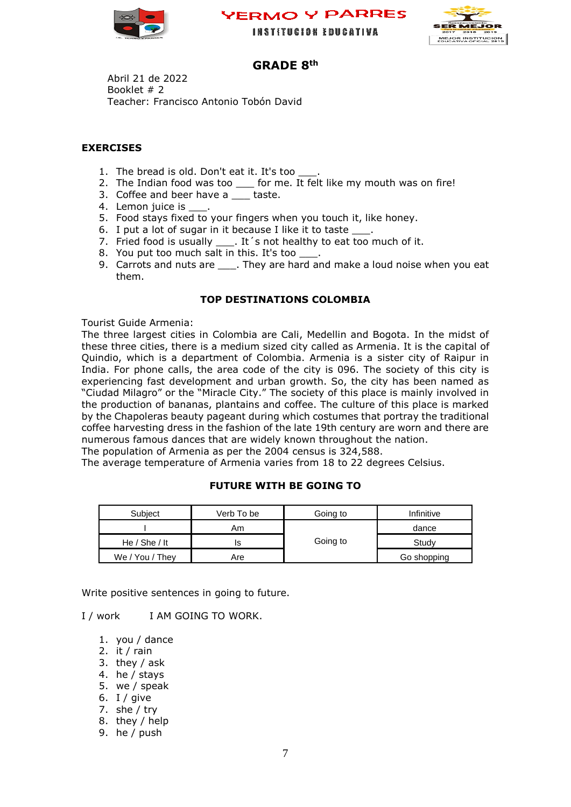





# **GRADE 8th**

Abril 21 de 2022 Booklet # 2 Teacher: Francisco Antonio Tobón David

## **EXERCISES**

- 1. The bread is old. Don't eat it. It's too
- 2. The Indian food was too \_\_\_ for me. It felt like my mouth was on fire!
- 3. Coffee and beer have a taste.
- 4. Lemon juice is
- 5. Food stays fixed to your fingers when you touch it, like honey.
- 6. I put a lot of sugar in it because I like it to taste .
- 7. Fried food is usually \_\_\_\_. It's not healthy to eat too much of it.
- 8. You put too much salt in this. It's too \_\_\_.
- 9. Carrots and nuts are \_\_\_\_. They are hard and make a loud noise when you eat them.

## **TOP DESTINATIONS COLOMBIA**

Tourist Guide Armenia:

The three largest cities in Colombia are Cali, Medellin and Bogota. In the midst of these three cities, there is a medium sized city called as Armenia. It is the capital of Quindio, which is a department of Colombia. Armenia is a sister city of Raipur in India. For phone calls, the area code of the city is 096. The society of this city is experiencing fast development and urban growth. So, the city has been named as "Ciudad Milagro" or the "Miracle City." The society of this place is mainly involved in the production of bananas, plantains and coffee. The culture of this place is marked by the Chapoleras beauty pageant during which costumes that portray the traditional coffee harvesting dress in the fashion of the late 19th century are worn and there are numerous famous dances that are widely known throughout the nation.

The population of Armenia as per the 2004 census is 324,588.

The average temperature of Armenia varies from 18 to 22 degrees Celsius.

## **FUTURE WITH BE GOING TO**

| Subject         | Verb To be | Going to | Infinitive  |
|-----------------|------------|----------|-------------|
|                 | Am         |          | dance       |
| He / She / It   | IS         | Going to | Study       |
| We / You / They | Are        |          | Go shopping |

Write positive sentences in going to future.

I / work I AM GOING TO WORK.

- 1. you / dance
- 2. it / rain
- 3. they / ask
- 4. he / stays
- 5. we / speak
- 6. I / give
- 7. she / try
- 8. they / help
- 9. he / push